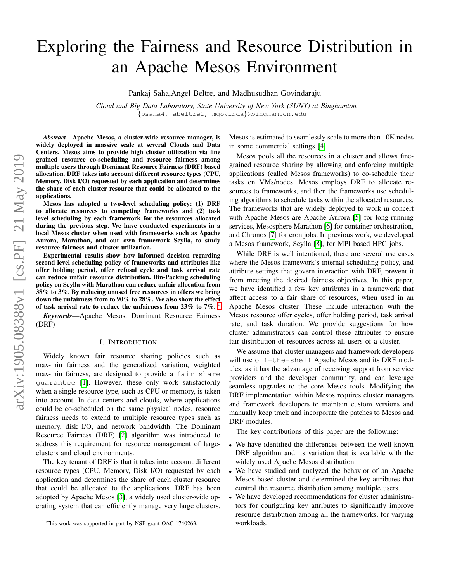# Exploring the Fairness and Resource Distribution in an Apache Mesos Environment

Pankaj Saha,Angel Beltre, and Madhusudhan Govindaraju

*Cloud and Big Data Laboratory, State University of New York (SUNY) at Binghamton* {psaha4, abeltre1, mgovinda}@binghamton.edu

*Abstract*—Apache Mesos, a cluster-wide resource manager, is widely deployed in massive scale at several Clouds and Data Centers. Mesos aims to provide high cluster utilization via fine grained resource co-scheduling and resource fairness among multiple users through Dominant Resource Fairness (DRF) based allocation. DRF takes into account different resource types (CPU, Memory, Disk I/O) requested by each application and determines the share of each cluster resource that could be allocated to the applications.

Mesos has adopted a two-level scheduling policy: (1) DRF to allocate resources to competing frameworks and (2) task level scheduling by each framework for the resources allocated during the previous step. We have conducted experiments in a local Mesos cluster when used with frameworks such as Apache Aurora, Marathon, and our own framework Scylla, to study resource fairness and cluster utilization.

Experimental results show how informed decision regarding second level scheduling policy of frameworks and attributes like offer holding period, offer refusal cycle and task arrival rate can reduce unfair resource distribution. Bin-Packing scheduling policy on Scylla with Marathon can reduce unfair allocation from 38% to 3%. By reducing unused free resources in offers we bring down the unfairness from to 90% to 28%. We also show the effect of task arrival rate to reduce the unfairness from 23% to  $7\%$ .

*Keywords—*Apache Mesos, Dominant Resource Fairness (DRF)

#### I. INTRODUCTION

Widely known fair resource sharing policies such as max-min fairness and the generalized variation, weighted max-min fairness, are designed to provide a fair share guarantee [\[1\]](#page-7-0). However, these only work satisfactorily when a single resource type, such as CPU or memory, is taken into account. In data centers and clouds, where applications could be co-scheduled on the same physical nodes, resource fairness needs to extend to multiple resource types such as memory, disk I/O, and network bandwidth. The Dominant Resource Fairness (DRF) [\[2\]](#page-7-1) algorithm was introduced to address this requirement for resource management of largeclusters and cloud environments.

The key tenant of DRF is that it takes into account different resource types (CPU, Memory, Disk I/O) requested by each application and determines the share of each cluster resource that could be allocated to the applications. DRF has been adopted by Apache Mesos [\[3\]](#page-7-2), a widely used cluster-wide operating system that can efficiently manage very large clusters.

<span id="page-0-0"></span> $1$  This work was supported in part by NSF grant OAC-1740263.

Mesos is estimated to seamlessly scale to more than 10K nodes in some commercial settings [\[4\]](#page-7-3).

Mesos pools all the resources in a cluster and allows finegrained resource sharing by allowing and enforcing multiple applications (called Mesos frameworks) to co-schedule their tasks on VMs/nodes. Mesos employs DRF to allocate resources to frameworks, and then the frameworks use scheduling algorithms to schedule tasks within the allocated resources. The frameworks that are widely deployed to work in concert with Apache Mesos are Apache Aurora [\[5\]](#page-7-4) for long-running services, Mesosphere Marathon [\[6\]](#page-7-5) for container orchestration, and Chronos [\[7\]](#page-7-6) for cron jobs. In previous work, we developed a Mesos framework, Scylla [\[8\]](#page-7-7), for MPI based HPC jobs.

While DRF is well intentioned, there are several use cases where the Mesos framework's internal scheduling policy, and attribute settings that govern interaction with DRF, prevent it from meeting the desired fairness objectives. In this paper, we have identified a few key attributes in a framework that affect access to a fair share of resources, when used in an Apache Mesos cluster. These include interaction with the Mesos resource offer cycles, offer holding period, task arrival rate, and task duration. We provide suggestions for how cluster administrators can control these attributes to ensure fair distribution of resources across all users of a cluster.

We assume that cluster managers and framework developers will use off-the-shelf Apache Mesos and its DRF modules, as it has the advantage of receiving support from service providers and the developer community, and can leverage seamless upgrades to the core Mesos tools. Modifying the DRF implementation within Mesos requires cluster managers and framework developers to maintain custom versions and manually keep track and incorporate the patches to Mesos and DRF modules.

The key contributions of this paper are the following:

- We have identified the differences between the well-known DRF algorithm and its variation that is available with the widely used Apache Mesos distribution.
- We have studied and analyzed the behavior of an Apache Mesos based cluster and determined the key attributes that control the resource distribution among multiple users.
- We have developed recommendations for cluster administrators for configuring key attributes to significantly improve resource distribution among all the frameworks, for varying workloads.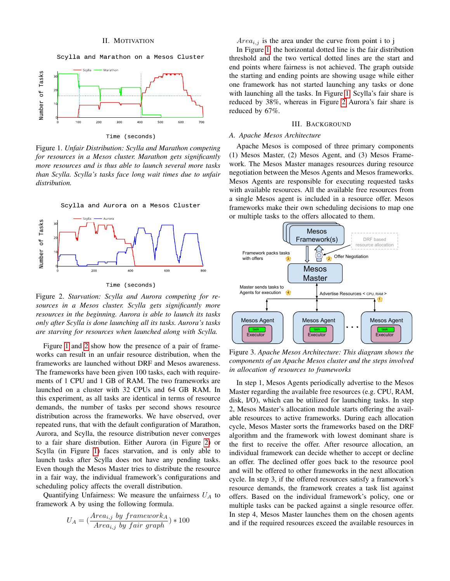#### II. MOTIVATION

Scylla and Marathon on a Mesos Cluster

<span id="page-1-0"></span>

Time (seconds)

Figure 1. *Unfair Distribution: Scylla and Marathon competing for resources in a Mesos cluster. Marathon gets significantly more resources and is thus able to launch several more tasks than Scylla. Scylla's tasks face long wait times due to unfair distribution.*

<span id="page-1-1"></span>



Time (seconds)

Figure 2. *Starvation: Scylla and Aurora competing for resources in a Mesos cluster. Scylla gets significantly more resources in the beginning. Aurora is able to launch its tasks only after Scylla is done launching all its tasks. Aurora's tasks are starving for resources when launched along with Scylla.*

Figure [1](#page-1-0) and [2](#page-1-1) show how the presence of a pair of frameworks can result in an unfair resource distribution, when the frameworks are launched without DRF and Mesos awareness. The frameworks have been given 100 tasks, each with requirements of 1 CPU and 1 GB of RAM. The two frameworks are launched on a cluster with 32 CPUs and 64 GB RAM. In this experiment, as all tasks are identical in terms of resource demands, the number of tasks per second shows resource distribution across the frameworks. We have observed, over repeated runs, that with the default configuration of Marathon, Aurora, and Scylla, the resource distribution never converges to a fair share distribution. Either Aurora (in Figure [2\)](#page-1-1) or Scylla (in Figure [1\)](#page-1-0) faces starvation, and is only able to launch tasks after Scylla does not have any pending tasks. Even though the Mesos Master tries to distribute the resource in a fair way, the individual framework's configurations and scheduling policy affects the overall distribution.

Quantifying Unfairness: We measure the unfairness  $U_A$  to framework A by using the following formula.

$$
U_A = \left(\frac{Area_{i,j} \; by \; framework_A}{Area_{i,j} \; by \; fair \; graph}\right) * 100
$$

 $Area_{i,j}$  is the area under the curve from point i to j

In Figure [1,](#page-1-0) the horizontal dotted line is the fair distribution threshold and the two vertical dotted lines are the start and end points where fairness is not achieved. The graph outside the starting and ending points are showing usage while either one framework has not started launching any tasks or done with launching all the tasks. In Figure [1,](#page-1-0) Scylla's fair share is reduced by 38%, whereas in Figure [2](#page-1-1) Aurora's fair share is reduced by 67%.

# III. BACKGROUND

# *A. Apache Mesos Architecture*

Apache Mesos is composed of three primary components (1) Mesos Master, (2) Mesos Agent, and (3) Mesos Framework. The Mesos Master manages resources during resource negotiation between the Mesos Agents and Mesos frameworks. Mesos Agents are responsible for executing requested tasks with available resources. All the available free resources from a single Mesos agent is included in a resource offer. Mesos frameworks make their own scheduling decisions to map one or multiple tasks to the offers allocated to them.



Figure 3. *Apache Mesos Architecture: This diagram shows the components of an Apache Mesos cluster and the steps involved in allocation of resources to frameworks*

In step 1, Mesos Agents periodically advertise to the Mesos Master regarding the available free resources (e.g. CPU, RAM, disk, I/O), which can be utilized for launching tasks. In step 2, Mesos Master's allocation module starts offering the available resources to active frameworks. During each allocation cycle, Mesos Master sorts the frameworks based on the DRF algorithm and the framework with lowest dominant share is the first to receive the offer. After resource allocation, an individual framework can decide whether to accept or decline an offer. The declined offer goes back to the resource pool and will be offered to other frameworks in the next allocation cycle. In step 3, if the offered resources satisfy a framework's resource demands, the framework creates a task list against offers. Based on the individual framework's policy, one or multiple tasks can be packed against a single resource offer. In step 4, Mesos Master launches them on the chosen agents and if the required resources exceed the available resources in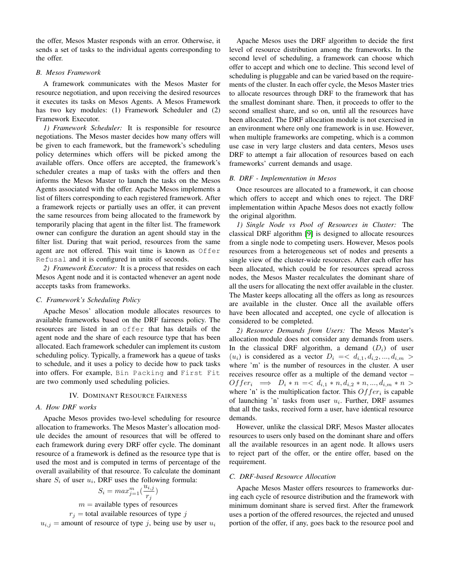the offer, Mesos Master responds with an error. Otherwise, it sends a set of tasks to the individual agents corresponding to the offer.

# *B. Mesos Framework*

A framework communicates with the Mesos Master for resource negotiation, and upon receiving the desired resources it executes its tasks on Mesos Agents. A Mesos Framework has two key modules: (1) Framework Scheduler and (2) Framework Executor.

*1) Framework Scheduler:* It is responsible for resource negotiations. The Mesos master decides how many offers will be given to each framework, but the framework's scheduling policy determines which offers will be picked among the available offers. Once offers are accepted, the framework's scheduler creates a map of tasks with the offers and then informs the Mesos Master to launch the tasks on the Mesos Agents associated with the offer. Apache Mesos implements a list of filters corresponding to each registered framework. After a framework rejects or partially uses an offer, it can prevent the same resources from being allocated to the framework by temporarily placing that agent in the filter list. The framework owner can configure the duration an agent should stay in the filter list. During that wait period, resources from the same agent are not offered. This wait time is known as Offer Refusal and it is configured in units of seconds.

*2) Framework Executor:* It is a process that resides on each Mesos Agent node and it is contacted whenever an agent node accepts tasks from frameworks.

# *C. Framework's Scheduling Policy*

Apache Mesos' allocation module allocates resources to available frameworks based on the DRF fairness policy. The resources are listed in an offer that has details of the agent node and the share of each resource type that has been allocated. Each framework scheduler can implement its custom scheduling policy. Typically, a framework has a queue of tasks to schedule, and it uses a policy to decide how to pack tasks into offers. For example, Bin Packing and First Fit are two commonly used scheduling policies.

## IV. DOMINANT RESOURCE FAIRNESS

# *A. How DRF works*

Apache Mesos provides two-level scheduling for resource allocation to frameworks. The Mesos Master's allocation module decides the amount of resources that will be offered to each framework during every DRF offer cycle. The dominant resource of a framework is defined as the resource type that is used the most and is computed in terms of percentage of the overall availability of that resource. To calculate the dominant share  $S_i$  of user  $u_i$ , DRF uses the following formula:

$$
S_i = max_{j=1}^m \left(\frac{u_{i,j}}{r_j}\right)
$$

)

 $m =$  available types of resources

 $r_i$  = total available resources of type j

 $u_{i,j}$  = amount of resource of type j, being use by user  $u_i$ 

Apache Mesos uses the DRF algorithm to decide the first level of resource distribution among the frameworks. In the second level of scheduling, a framework can choose which offer to accept and which one to decline. This second level of scheduling is pluggable and can be varied based on the requirements of the cluster. In each offer cycle, the Mesos Master tries to allocate resources through DRF to the framework that has the smallest dominant share. Then, it proceeds to offer to the second smallest share, and so on, until all the resources have been allocated. The DRF allocation module is not exercised in an environment where only one framework is in use. However, when multiple frameworks are competing, which is a common use case in very large clusters and data centers, Mesos uses DRF to attempt a fair allocation of resources based on each frameworks' current demands and usage.

# *B. DRF - Implementation in Mesos*

Once resources are allocated to a framework, it can choose which offers to accept and which ones to reject. The DRF implementation within Apache Mesos does not exactly follow the original algorithm.

*1) Single Node vs Pool of Resources in Cluster:* The classical DRF algorithm [\[9\]](#page-7-8) is designed to allocate resources from a single node to competing users. However, Mesos pools resources from a heterogeneous set of nodes and presents a single view of the cluster-wide resources. After each offer has been allocated, which could be for resources spread across nodes, the Mesos Master recalculates the dominant share of all the users for allocating the next offer available in the cluster. The Master keeps allocating all the offers as long as resources are available in the cluster. Once all the available offers have been allocated and accepted, one cycle of allocation is considered to be completed.

*2) Resource Demands from Users:* The Mesos Master's allocation module does not consider any demands from users. In the classical DRF algorithm, a demand  $(D_i)$  of user  $(u_i)$  is considered as a vector  $D_i = \langle d_{i,1}, d_{i,2}, ..., d_{i,m} \rangle$ where 'm' is the number of resources in the cluster. A user receives resource offer as a multiple of the demand vector –  $Offer_i \implies D_i * n = < d_{i,1} * n, d_{i,2} * n, ..., d_{i,m} * n >$ where 'n' is the multiplication factor. This  $Offer<sub>i</sub>$  is capable of launching 'n' tasks from user  $u_i$ . Further, DRF assumes that all the tasks, received form a user, have identical resource demands.

However, unlike the classical DRF, Mesos Master allocates resources to users only based on the dominant share and offers all the available resources in an agent node. It allows users to reject part of the offer, or the entire offer, based on the requirement.

# *C. DRF-based Resource Allocation*

Apache Mesos Master offers resources to frameworks during each cycle of resource distribution and the framework with minimum dominant share is served first. After the framework uses a portion of the offered resources, the rejected and unused portion of the offer, if any, goes back to the resource pool and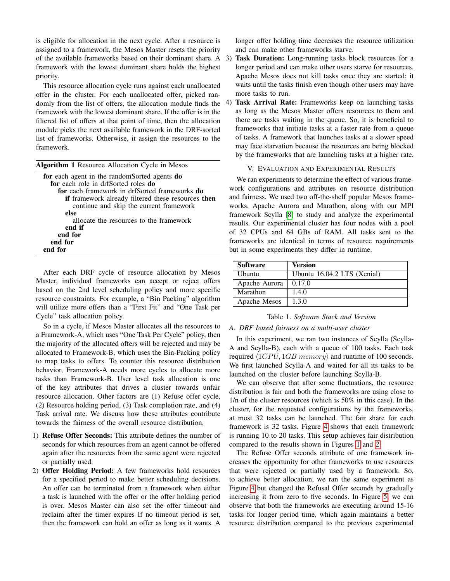is eligible for allocation in the next cycle. After a resource is assigned to a framework, the Mesos Master resets the priority of the available frameworks based on their dominant share. A framework with the lowest dominant share holds the highest priority.

This resource allocation cycle runs against each unallocated offer in the cluster. For each unallocated offer, picked randomly from the list of offers, the allocation module finds the framework with the lowest dominant share. If the offer is in the filtered list of offers at that point of time, then the allocation module picks the next available framework in the DRF-sorted list of frameworks. Otherwise, it assign the resources to the framework.

| Algorithm 1 Resource Allocation Cycle in Mesos       |
|------------------------------------------------------|
| for each agent in the randomSorted agents <b>do</b>  |
| for each role in drfSorted roles do                  |
| for each framework in drfSorted frameworks <b>do</b> |
| if framework already filtered these resources then   |
| continue and skip the current framework              |
| else                                                 |
| allocate the resources to the framework              |
| end if                                               |
| end for                                              |
| end for                                              |
| end for                                              |

After each DRF cycle of resource allocation by Mesos Master, individual frameworks can accept or reject offers based on the 2nd level scheduling policy and more specific resource constraints. For example, a "Bin Packing" algorithm will utilize more offers than a "First Fit" and "One Task per Cycle" task allocation policy.

So in a cycle, if Mesos Master allocates all the resources to a Framework-A, which uses "One Task Per Cycle" policy, then the majority of the allocated offers will be rejected and may be allocated to Framework-B, which uses the Bin-Packing policy to map tasks to offers. To counter this resource distribution behavior, Framework-A needs more cycles to allocate more tasks than Framework-B. User level task allocation is one of the key attributes that drives a cluster towards unfair resource allocation. Other factors are (1) Refuse offer cycle, (2) Resource holding period, (3) Task completion rate, and (4) Task arrival rate. We discuss how these attributes contribute towards the fairness of the overall resource distribution.

- 1) Refuse Offer Seconds: This attribute defines the number of seconds for which resources from an agent cannot be offered again after the resources from the same agent were rejected or partially used.
- 2) Offer Holding Period: A few frameworks hold resources for a specified period to make better scheduling decisions. An offer can be terminated from a framework when either a task is launched with the offer or the offer holding period is over. Mesos Master can also set the offer timeout and reclaim after the timer expires If no timeout period is set, then the framework can hold an offer as long as it wants. A

longer offer holding time decreases the resource utilization and can make other frameworks starve.

- Task Duration: Long-running tasks block resources for a longer period and can make other users starve for resources. Apache Mesos does not kill tasks once they are started; it waits until the tasks finish even though other users may have more tasks to run.
- 4) Task Arrival Rate: Frameworks keep on launching tasks as long as the Mesos Master offers resources to them and there are tasks waiting in the queue. So, it is beneficial to frameworks that initiate tasks at a faster rate from a queue of tasks. A framework that launches tasks at a slower speed may face starvation because the resources are being blocked by the frameworks that are launching tasks at a higher rate.

# V. EVALUATION AND EXPERIMENTAL RESULTS

We ran experiments to determine the effect of various framework configurations and attributes on resource distribution and fairness. We used two off-the-shelf popular Mesos frameworks, Apache Aurora and Marathon, along with our MPI framework Scylla [\[8\]](#page-7-7) to study and analyze the experimental results. Our experimental cluster has four nodes with a pool of 32 CPUs and 64 GBs of RAM. All tasks sent to the frameworks are identical in terms of resource requirements but in some experiments they differ in runtime.

| <b>Software</b> | Version                     |
|-----------------|-----------------------------|
| Ubuntu          | Ubuntu 16.04.2 LTS (Xenial) |
| Apache Aurora   | 0.17.0                      |
| Marathon        | 1.4.0                       |
| Apache Mesos    | 1.3.0                       |

## Table 1. *Software Stack and Version*

# *A. DRF based fairness on a multi-user cluster*

In this experiment, we ran two instances of Scylla (Scylla-A and Scylla-B), each with a queue of 100 tasks. Each task required  $\langle 1CPU, 1GB memory \rangle$  and runtime of 100 seconds. We first launched Scylla-A and waited for all its tasks to be launched on the cluster before launching Scylla-B.

We can observe that after some fluctuations, the resource distribution is fair and both the frameworks are using close to 1/n of the cluster resources (which is 50% in this case). In the cluster, for the requested configurations by the frameworks, at most 32 tasks can be launched. The fair share for each framework is 32 tasks. Figure [4](#page-4-0) shows that each framework is running 10 to 20 tasks. This setup achieves fair distribution compared to the results shown in Figures [1](#page-1-0) and [2.](#page-1-1)

The Refuse Offer seconds attribute of one framework increases the opportunity for other frameworks to use resources that were rejected or partially used by a framework. So, to achieve better allocation, we ran the same experiment as Figure [4](#page-4-0) but changed the Refusal Offer seconds by gradually increasing it from zero to five seconds. In Figure [5,](#page-4-1) we can observe that both the frameworks are executing around 15-16 tasks for longer period time, which again maintains a better resource distribution compared to the previous experimental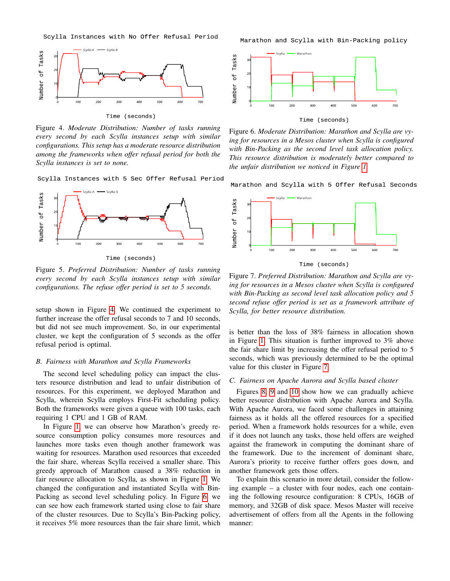<span id="page-4-0"></span>Scylla Instances with No Offer Refusal Period



Figure 4. *Moderate Distribution: Number of tasks running every second by each Scylla instances setup with similar configurations. This setup has a moderate resource distribution among the frameworks when offer refusal period for both the Scylla instances is set to none.*

<span id="page-4-1"></span>Scylla Instances with 5 Sec Offer Refusal Period



Time (seconds)

Figure 5. *Preferred Distribution: Number of tasks running every second by each Scylla instances setup with similar configurations. The refuse offer period is set to 5 seconds.*

setup shown in Figure [4.](#page-4-0) We continued the experiment to further increase the offer refusal seconds to 7 and 10 seconds, but did not see much improvement. So, in our experimental cluster, we kept the configuration of 5 seconds as the offer refusal period is optimal.

#### *B. Fairness with Marathon and Scylla Frameworks*

The second level scheduling policy can impact the clusters resource distribution and lead to unfair distribution of resources. For this experiment, we deployed Marathon and Scylla, wherein Scylla employs First-Fit scheduling policy. Both the frameworks were given a queue with 100 tasks, each requiring 1 CPU and 1 GB of RAM.

In Figure [1,](#page-1-0) we can observe how Marathon's greedy resource consumption policy consumes more resources and launches more tasks even though another framework was waiting for resources. Marathon used resources that exceeded the fair share, whereas Scylla received a smaller share. This greedy approach of Marathon caused a 38% reduction in fair resource allocation to Scylla, as shown in Figure [1.](#page-1-0) We changed the configuration and instantiated Scylla with Bin-Packing as second level scheduling policy. In Figure [6,](#page-4-2) we can see how each framework started using close to fair share of the cluster resources. Due to Scylla's Bin-Packing policy, it receives 5% more resources than the fair share limit, which

<span id="page-4-2"></span>Marathon and Scylla with Bin-Packing policy



Figure 6. *Moderate Distribution: Marathon and Scylla are vying for resources in a Mesos cluster when Scylla is configured with Bin-Packing as the second level task allocation policy. This resource distribution is moderately better compared to the unfair distribution we noticed in Figure [1.](#page-1-0)*

<span id="page-4-3"></span>Marathon and Scylla with 5 Offer Refusal Seconds



Figure 7. *Preferred Distribution: Marathon and Scylla are vying for resources in a Mesos cluster when Scylla is configured with Bin-Packing as second level task allocation policy and 5 second refuse offer period is set as a framework attribute of Scylla, for better resource distribution.*

is better than the loss of 38% fairness in allocation shown in Figure [1.](#page-1-0) This situation is further improved to 3% above the fair share limit by increasing the offer refusal period to 5 seconds, which was previously determined to be the optimal value for this cluster in Figure [7.](#page-4-3)

#### *C. Fairness on Apache Aurora and Scylla based cluster*

Figures [8,](#page-5-0) [9](#page-5-1) and [10](#page-5-2) show how we can gradually achieve better resource distribution with Apache Aurora and Scylla. With Apache Aurora, we faced some challenges in attaining fairness as it holds all the offered resources for a specified period. When a framework holds resources for a while, even if it does not launch any tasks, those held offers are weighed against the framework in computing the dominant share of the framework. Due to the increment of dominant share, Aurora's priority to receive further offers goes down, and another framework gets those offers.

To explain this scenario in more detail, consider the following example – a cluster with four nodes, each one containing the following resource configuration: 8 CPUs, 16GB of memory, and 32GB of disk space. Mesos Master will receive advertisement of offers from all the Agents in the following manner: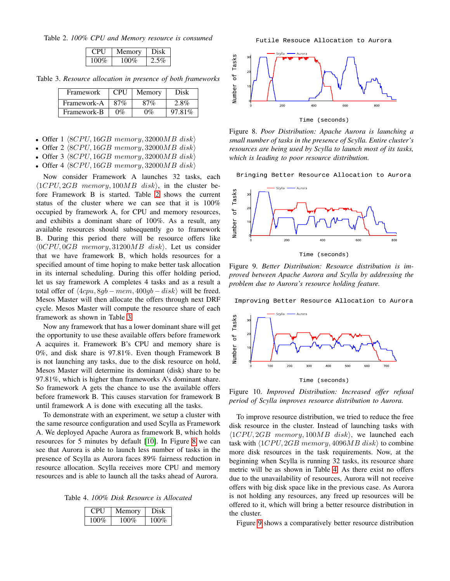<span id="page-5-3"></span>Table 2. *100% CPU and Memory resource is consumed*

| -CPL+   | Memory | Disk    |
|---------|--------|---------|
| $100\%$ | 100%   | $2.5\%$ |

<span id="page-5-4"></span>Table 3. *Resource allocation in presence of both frameworks*

| Framework   | <b>CPU</b> | Memory | Disk   |
|-------------|------------|--------|--------|
| Framework-A | 87%        | 87%    | 2.8%   |
| Framework-B | $0\%$      | $0\%$  | 97.81% |

- Offer 1  $\langle 8CPU, 16GB memory, 32000MB \, disk \rangle$
- Offer 2  $\langle 8CPU, 16GB memory, 32000MB disk \rangle$
- Offer 3  $\langle 8CPU, 16GB memory, 32000MB disk \rangle$
- Offer 4  $\langle 8CPU, 16GB memory, 32000MB disk \rangle$

Now consider Framework A launches 32 tasks, each  $\langle 1CPU, 2GB \, memory, 100MB \, disk \rangle$ , in the cluster before Framework B is started. Table [2](#page-5-3) shows the current status of the cluster where we can see that it is 100% occupied by framework A, for CPU and memory resources, and exhibits a dominant share of 100%. As a result, any available resources should subsequently go to framework B. During this period there will be resource offers like  $\langle 0CPU, 0GB \, memory, 31200MB \, disk \rangle$ . Let us consider that we have framework B, which holds resources for a specified amount of time hoping to make better task allocation in its internal scheduling. During this offer holding period, let us say framework A completes 4 tasks and as a result a total offer of  $\langle 4cpu, 8gb - mem, 400gb - disk \rangle$  will be freed. Mesos Master will then allocate the offers through next DRF cycle. Mesos Master will compute the resource share of each framework as shown in Table [3.](#page-5-4)

Now any framework that has a lower dominant share will get the opportunity to use these available offers before framework A acquires it. Framework B's CPU and memory share is 0%, and disk share is 97.81%. Even though Framework B is not launching any tasks, due to the disk resource on hold, Mesos Master will determine its dominant (disk) share to be 97.81%, which is higher than frameworks A's dominant share. So framework A gets the chance to use the available offers before framework B. This causes starvation for framework B until framework A is done with executing all the tasks.

To demonstrate with an experiment, we setup a cluster with the same resource configuration and used Scylla as Framework A. We deployed Apache Aurora as framework B, which holds resources for 5 minutes by default [\[10\]](#page-7-9). In Figure [8](#page-5-0) we can see that Aurora is able to launch less number of tasks in the presence of Scylla as Aurora faces 89% fairness reduction in resource allocation. Scylla receives more CPU and memory resources and is able to launch all the tasks ahead of Aurora.

<span id="page-5-5"></span>Table 4. *100% Disk Resource is Allocated*

| ( PL    | Memory | Disk    |
|---------|--------|---------|
| $100\%$ | 100%   | $100\%$ |

<span id="page-5-0"></span>

Time (seconds)

Figure 8. *Poor Distribution: Apache Aurora is launching a small number of tasks in the presence of Scylla. Entire cluster's resources are being used by Scylla to launch most of its tasks, which is leading to poor resource distribution.*

<span id="page-5-1"></span>Bringing Better Resource Allocation to Aurora



Time (seconds)

Figure 9. *Better Distribution: Resource distribution is improved between Apache Aurora and Scylla by addressing the problem due to Aurora's resource holding feature.*

<span id="page-5-2"></span>Improving Better Resource Allocation to Aurora



Figure 10. *Improved Distribution: Increased offer refusal period of Scylla improves resource distribution to Aurora.*

To improve resource distribution, we tried to reduce the free disk resource in the cluster. Instead of launching tasks with  $\langle 1CPU, 2GB \, memory, 100MB \, disk \rangle$ , we launched each task with  $\langle 1CPU, 2GB memory, 4096MB disk \rangle$  to combine more disk resources in the task requirements. Now, at the beginning when Scylla is running 32 tasks, its resource share metric will be as shown in Table [4.](#page-5-5) As there exist no offers due to the unavailability of resources, Aurora will not receive offers with big disk space like in the previous case. As Aurora is not holding any resources, any freed up resources will be offered to it, which will bring a better resource distribution in the cluster.

Figure [9](#page-5-1) shows a comparatively better resource distribution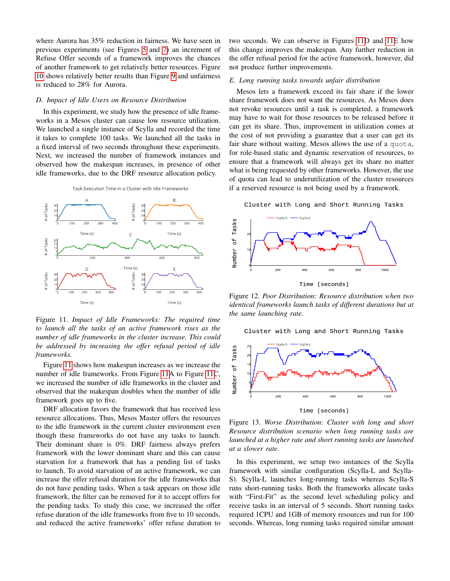where Aurora has 35% reduction in fairness. We have seen in previous experiments (see Figures [5](#page-4-1) and [7\)](#page-4-3) an increment of Refuse Offer seconds of a framework improves the chances of another framework to get relatively better resources. Figure [10](#page-5-2) shows relatively better results than Figure [9](#page-5-1) and unfairness is reduced to 28% for Aurora.

## *D. Impact of Idle Users on Resource Distribution*

In this experiment, we study how the presence of idle frameworks in a Mesos cluster can cause low resource utilization. We launched a single instance of Scylla and recorded the time it takes to complete 100 tasks. We launched all the tasks in a fixed interval of two seconds throughout these experiments. Next, we increased the number of framework instances and observed how the makespan increases, in presence of other idle frameworks, due to the DRF resource allocation policy.

<span id="page-6-0"></span>

Figure 11. *Impact of Idle Frameworks: The required time to launch all the tasks of an active framework rises as the number of idle frameworks in the cluster increase. This could be addressed by increasing the offer refusal period of idle frameworks.*

Figure [11](#page-6-0) shows how makespan increases as we increase the number of idle frameworks. From Figure [11A](#page-6-0) to Figure [11C](#page-6-0), we increased the number of idle frameworks in the cluster and observed that the makespan doubles when the number of idle framework goes up to five.

DRF allocation favors the framework that has received less resource allocations. Thus, Mesos Master offers the resources to the idle framework in the current cluster environment even though these frameworks do not have any tasks to launch. Their dominant share is 0%. DRF fairness always prefers framework with the lower dominant share and this can cause starvation for a framework that has a pending list of tasks to launch. To avoid starvation of an active framework, we can increase the offer refusal duration for the idle frameworks that do not have pending tasks. When a task appears on those idle framework, the filter can be removed for it to accept offers for the pending tasks. To study this case, we increased the offer refuse duration of the idle frameworks from five to 10 seconds, and reduced the active frameworks' offer refuse duration to

two seconds. We can observe in Figures [11D](#page-6-0) and [11E](#page-6-0) how this change improves the makespan. Any further reduction in the offer refusal period for the active framework, however, did not produce further improvements.

# *E. Long running tasks towards unfair distribution*

Mesos lets a framework exceed its fair share if the lower share framework does not want the resources. As Mesos does not revoke resources until a task is completed, a framework may have to wait for those resources to be released before it can get its share. Thus, improvement in utilization comes at the cost of not providing a guarantee that a user can get its fair share without waiting. Mesos allows the use of a quota, for role-based static and dynamic reservation of resources, to ensure that a framework will always get its share no matter what is being requested by other frameworks. However, the use of quota can lead to underutilization of the cluster resources if a reserved resource is not being used by a framework.

#### <span id="page-6-1"></span>Cluster with Long and Short Running Tasks



Figure 12. *Poor Distribution: Resource distribution when two identical frameworks launch tasks of different durations but at the same launching rate.*

#### <span id="page-6-2"></span>Cluster with Long and Short Running Tasks



Figure 13. *Worse Distribution: Cluster with long and short Resource distribution scenario when long running tasks are launched at a higher rate and short running tasks are launched at a slower rate.*

In this experiment, we setup two instances of the Scylla framework with similar configuration (Scylla-L and Scylla-S). Scylla-L launches long-running tasks whereas Scylla-S runs short-running tasks. Both the frameworks allocate tasks with "First-Fit" as the second level scheduling policy and receive tasks in an interval of 5 seconds. Short running tasks required 1CPU and 1GB of memory resources and run for 100 seconds. Whereas, long running tasks required similar amount